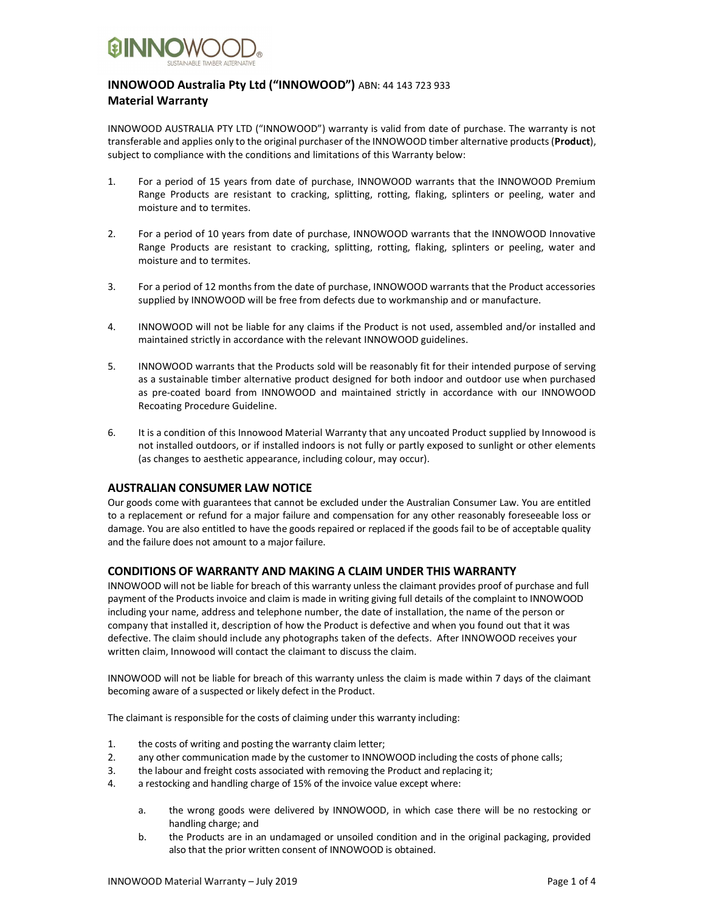

# INNOWOOD Australia Pty Ltd ("INNOWOOD") ABN: 44 143 723 933 Material Warranty

INNOWOOD AUSTRALIA PTY LTD ("INNOWOOD") warranty is valid from date of purchase. The warranty is not transferable and applies only to the original purchaser of the INNOWOOD timber alternative products (**Product**), subject to compliance with the conditions and limitations of this Warranty below:

- 1. For a period of 15 years from date of purchase, INNOWOOD warrants that the INNOWOOD Premium Range Products are resistant to cracking, splitting, rotting, flaking, splinters or peeling, water and moisture and to termites.
- 2. For a period of 10 years from date of purchase, INNOWOOD warrants that the INNOWOOD Innovative Range Products are resistant to cracking, splitting, rotting, flaking, splinters or peeling, water and moisture and to termites.
- 3. For a period of 12 months from the date of purchase, INNOWOOD warrants that the Product accessories supplied by INNOWOOD will be free from defects due to workmanship and or manufacture.
- 4. INNOWOOD will not be liable for any claims if the Product is not used, assembled and/or installed and maintained strictly in accordance with the relevant INNOWOOD guidelines.
- 5. INNOWOOD warrants that the Products sold will be reasonably fit for their intended purpose of serving as a sustainable timber alternative product designed for both indoor and outdoor use when purchased as pre-coated board from INNOWOOD and maintained strictly in accordance with our INNOWOOD Recoating Procedure Guideline.
- 6. It is a condition of this Innowood Material Warranty that any uncoated Product supplied by Innowood is not installed outdoors, or if installed indoors is not fully or partly exposed to sunlight or other elements (as changes to aesthetic appearance, including colour, may occur).

## AUSTRALIAN CONSUMER LAW NOTICE

Our goods come with guarantees that cannot be excluded under the Australian Consumer Law. You are entitled to a replacement or refund for a major failure and compensation for any other reasonably foreseeable loss or damage. You are also entitled to have the goods repaired or replaced if the goods fail to be of acceptable quality and the failure does not amount to a major failure.

## CONDITIONS OF WARRANTY AND MAKING A CLAIM UNDER THIS WARRANTY

INNOWOOD will not be liable for breach of this warranty unless the claimant provides proof of purchase and full payment of the Products invoice and claim is made in writing giving full details of the complaint to INNOWOOD including your name, address and telephone number, the date of installation, the name of the person or company that installed it, description of how the Product is defective and when you found out that it was defective. The claim should include any photographs taken of the defects. After INNOWOOD receives your written claim, Innowood will contact the claimant to discuss the claim.

INNOWOOD will not be liable for breach of this warranty unless the claim is made within 7 days of the claimant becoming aware of a suspected or likely defect in the Product.

The claimant is responsible for the costs of claiming under this warranty including:

- 1. the costs of writing and posting the warranty claim letter;
- 2. any other communication made by the customer to INNOWOOD including the costs of phone calls;
- 3. the labour and freight costs associated with removing the Product and replacing it;
- 4. a restocking and handling charge of 15% of the invoice value except where:
	- a. the wrong goods were delivered by INNOWOOD, in which case there will be no restocking or handling charge; and
	- b. the Products are in an undamaged or unsoiled condition and in the original packaging, provided also that the prior written consent of INNOWOOD is obtained.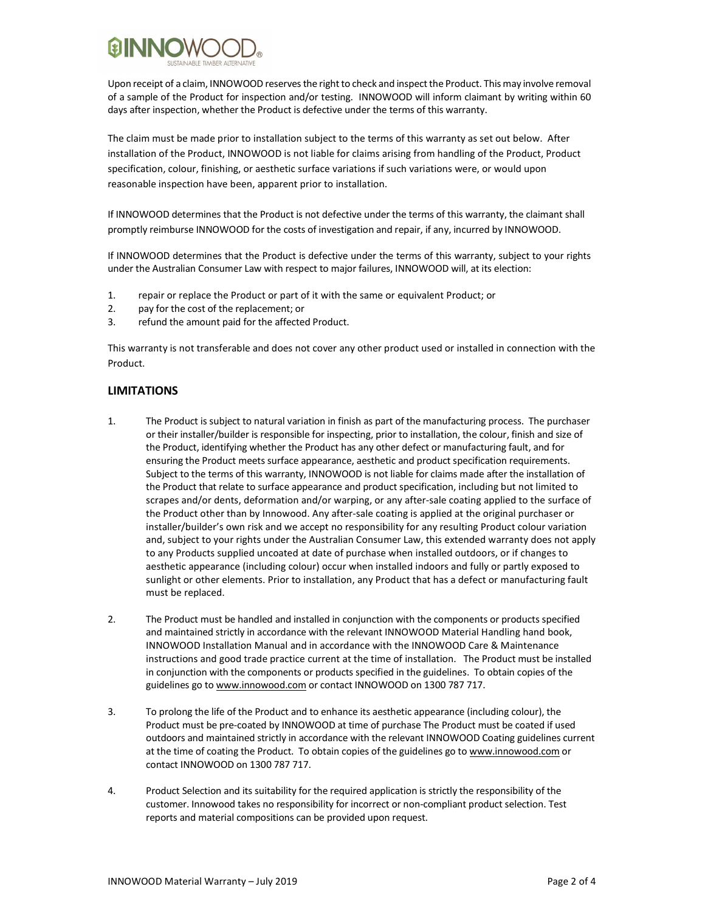

Upon receipt of a claim, INNOWOOD reserves the right to check and inspect the Product. This may involve removal of a sample of the Product for inspection and/or testing. INNOWOOD will inform claimant by writing within 60 days after inspection, whether the Product is defective under the terms of this warranty.

The claim must be made prior to installation subject to the terms of this warranty as set out below. After installation of the Product, INNOWOOD is not liable for claims arising from handling of the Product, Product specification, colour, finishing, or aesthetic surface variations if such variations were, or would upon reasonable inspection have been, apparent prior to installation.

If INNOWOOD determines that the Product is not defective under the terms of this warranty, the claimant shall promptly reimburse INNOWOOD for the costs of investigation and repair, if any, incurred by INNOWOOD.

If INNOWOOD determines that the Product is defective under the terms of this warranty, subject to your rights under the Australian Consumer Law with respect to major failures, INNOWOOD will, at its election:

- 1. repair or replace the Product or part of it with the same or equivalent Product; or
- 2. pay for the cost of the replacement; or
- 3. refund the amount paid for the affected Product.

This warranty is not transferable and does not cover any other product used or installed in connection with the Product.

## LIMITATIONS

- 1. The Product is subject to natural variation in finish as part of the manufacturing process. The purchaser or their installer/builder is responsible for inspecting, prior to installation, the colour, finish and size of the Product, identifying whether the Product has any other defect or manufacturing fault, and for ensuring the Product meets surface appearance, aesthetic and product specification requirements. Subject to the terms of this warranty, INNOWOOD is not liable for claims made after the installation of the Product that relate to surface appearance and product specification, including but not limited to scrapes and/or dents, deformation and/or warping, or any after-sale coating applied to the surface of the Product other than by Innowood. Any after-sale coating is applied at the original purchaser or installer/builder's own risk and we accept no responsibility for any resulting Product colour variation and, subject to your rights under the Australian Consumer Law, this extended warranty does not apply to any Products supplied uncoated at date of purchase when installed outdoors, or if changes to aesthetic appearance (including colour) occur when installed indoors and fully or partly exposed to sunlight or other elements. Prior to installation, any Product that has a defect or manufacturing fault must be replaced.
- 2. The Product must be handled and installed in conjunction with the components or products specified and maintained strictly in accordance with the relevant INNOWOOD Material Handling hand book, INNOWOOD Installation Manual and in accordance with the INNOWOOD Care & Maintenance instructions and good trade practice current at the time of installation. The Product must be installed in conjunction with the components or products specified in the guidelines. To obtain copies of the guidelines go to www.innowood.com or contact INNOWOOD on 1300 787 717.
- 3. To prolong the life of the Product and to enhance its aesthetic appearance (including colour), the Product must be pre-coated by INNOWOOD at time of purchase The Product must be coated if used outdoors and maintained strictly in accordance with the relevant INNOWOOD Coating guidelines current at the time of coating the Product. To obtain copies of the guidelines go to www.innowood.com or contact INNOWOOD on 1300 787 717.
- 4. Product Selection and its suitability for the required application is strictly the responsibility of the customer. Innowood takes no responsibility for incorrect or non-compliant product selection. Test reports and material compositions can be provided upon request.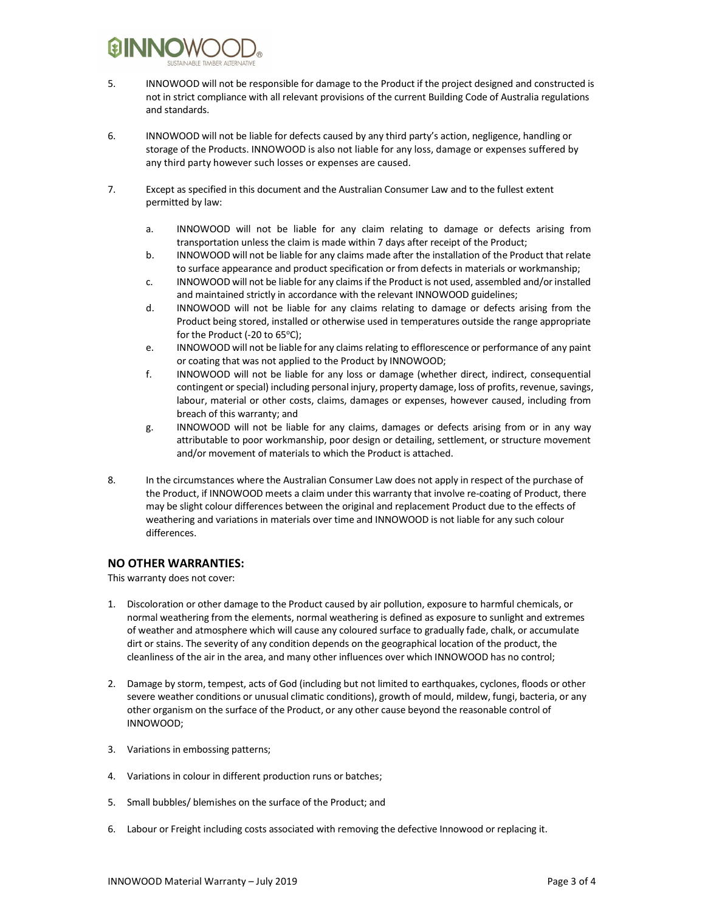

- 5. INNOWOOD will not be responsible for damage to the Product if the project designed and constructed is not in strict compliance with all relevant provisions of the current Building Code of Australia regulations and standards.
- 6. INNOWOOD will not be liable for defects caused by any third party's action, negligence, handling or storage of the Products. INNOWOOD is also not liable for any loss, damage or expenses suffered by any third party however such losses or expenses are caused.
- 7. Except as specified in this document and the Australian Consumer Law and to the fullest extent permitted by law:
	- a. INNOWOOD will not be liable for any claim relating to damage or defects arising from transportation unless the claim is made within 7 days after receipt of the Product;
	- b. INNOWOOD will not be liable for any claims made after the installation of the Product that relate to surface appearance and product specification or from defects in materials or workmanship;
	- c. INNOWOOD will not be liable for any claims if the Product is not used, assembled and/or installed and maintained strictly in accordance with the relevant INNOWOOD guidelines;
	- d. INNOWOOD will not be liable for any claims relating to damage or defects arising from the Product being stored, installed or otherwise used in temperatures outside the range appropriate for the Product (-20 to  $65^{\circ}$ C);
	- e. INNOWOOD will not be liable for any claims relating to efflorescence or performance of any paint or coating that was not applied to the Product by INNOWOOD;
	- f. INNOWOOD will not be liable for any loss or damage (whether direct, indirect, consequential contingent or special) including personal injury, property damage, loss of profits, revenue, savings, labour, material or other costs, claims, damages or expenses, however caused, including from breach of this warranty; and
	- g. INNOWOOD will not be liable for any claims, damages or defects arising from or in any way attributable to poor workmanship, poor design or detailing, settlement, or structure movement and/or movement of materials to which the Product is attached.
- 8. In the circumstances where the Australian Consumer Law does not apply in respect of the purchase of the Product, if INNOWOOD meets a claim under this warranty that involve re-coating of Product, there may be slight colour differences between the original and replacement Product due to the effects of weathering and variations in materials over time and INNOWOOD is not liable for any such colour differences.

## NO OTHER WARRANTIES:

This warranty does not cover:

- 1. Discoloration or other damage to the Product caused by air pollution, exposure to harmful chemicals, or normal weathering from the elements, normal weathering is defined as exposure to sunlight and extremes of weather and atmosphere which will cause any coloured surface to gradually fade, chalk, or accumulate dirt or stains. The severity of any condition depends on the geographical location of the product, the cleanliness of the air in the area, and many other influences over which INNOWOOD has no control;
- 2. Damage by storm, tempest, acts of God (including but not limited to earthquakes, cyclones, floods or other severe weather conditions or unusual climatic conditions), growth of mould, mildew, fungi, bacteria, or any other organism on the surface of the Product, or any other cause beyond the reasonable control of INNOWOOD;
- 3. Variations in embossing patterns;
- 4. Variations in colour in different production runs or batches;
- 5. Small bubbles/ blemishes on the surface of the Product; and
- 6. Labour or Freight including costs associated with removing the defective Innowood or replacing it.